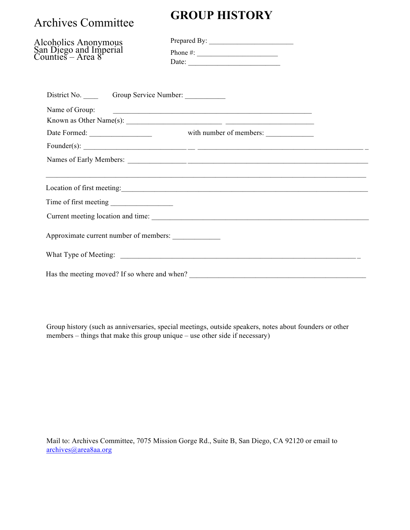## Archives Committee

## **GROUP HISTORY**

| Alcoholics Anonymous<br>San Diego and Imperial<br>Counties – Area 8 | Date: $\frac{1}{\sqrt{1-\frac{1}{2}}\sqrt{1-\frac{1}{2}}\sqrt{1-\frac{1}{2}}\sqrt{1-\frac{1}{2}}\sqrt{1-\frac{1}{2}}\sqrt{1-\frac{1}{2}}\sqrt{1-\frac{1}{2}}\sqrt{1-\frac{1}{2}}\sqrt{1-\frac{1}{2}}\sqrt{1-\frac{1}{2}}\sqrt{1-\frac{1}{2}}\sqrt{1-\frac{1}{2}}\sqrt{1-\frac{1}{2}}\sqrt{1-\frac{1}{2}}\sqrt{1-\frac{1}{2}}\sqrt{1-\frac{1}{2}}\sqrt{1-\frac{1}{2}}\sqrt{1-\frac{1}{2}}\sqrt{1-\frac{1}{2}}$ |
|---------------------------------------------------------------------|---------------------------------------------------------------------------------------------------------------------------------------------------------------------------------------------------------------------------------------------------------------------------------------------------------------------------------------------------------------------------------------------------------------|
|                                                                     |                                                                                                                                                                                                                                                                                                                                                                                                               |
| Name of Group:                                                      |                                                                                                                                                                                                                                                                                                                                                                                                               |
|                                                                     | Known as Other Name(s): $\qquad \qquad$                                                                                                                                                                                                                                                                                                                                                                       |
| Date Formed:                                                        | with number of members:                                                                                                                                                                                                                                                                                                                                                                                       |
|                                                                     |                                                                                                                                                                                                                                                                                                                                                                                                               |
|                                                                     |                                                                                                                                                                                                                                                                                                                                                                                                               |
|                                                                     | Location of first meeting:                                                                                                                                                                                                                                                                                                                                                                                    |
|                                                                     |                                                                                                                                                                                                                                                                                                                                                                                                               |
|                                                                     |                                                                                                                                                                                                                                                                                                                                                                                                               |
| Approximate current number of members:                              |                                                                                                                                                                                                                                                                                                                                                                                                               |
|                                                                     |                                                                                                                                                                                                                                                                                                                                                                                                               |
|                                                                     |                                                                                                                                                                                                                                                                                                                                                                                                               |

Group history (such as anniversaries, special meetings, outside speakers, notes about founders or other members – things that make this group unique – use other side if necessary)

Mail to: Archives Committee, 7075 Mission Gorge Rd., Suite B, San Diego, CA 92120 or email to archives@area8aa.org